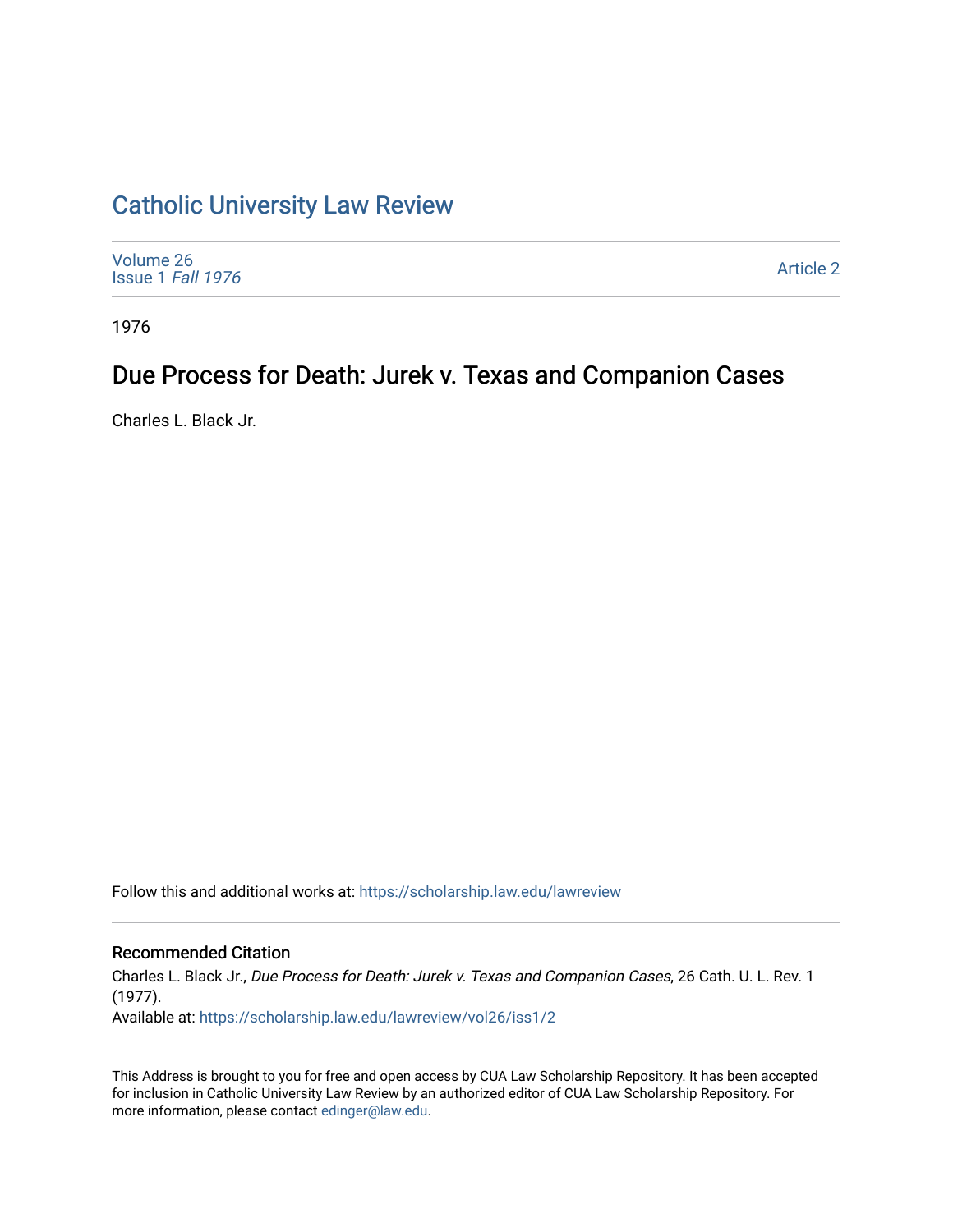## [Catholic University Law Review](https://scholarship.law.edu/lawreview)

| Volume 26<br>Issue 1 Fall 1976 | <b>Article 2</b> |
|--------------------------------|------------------|
|--------------------------------|------------------|

1976

# Due Process for Death: Jurek v. Texas and Companion Cases

Charles L. Black Jr.

Follow this and additional works at: [https://scholarship.law.edu/lawreview](https://scholarship.law.edu/lawreview?utm_source=scholarship.law.edu%2Flawreview%2Fvol26%2Fiss1%2F2&utm_medium=PDF&utm_campaign=PDFCoverPages)

#### Recommended Citation

Charles L. Black Jr., Due Process for Death: Jurek v. Texas and Companion Cases, 26 Cath. U. L. Rev. 1 (1977). Available at: [https://scholarship.law.edu/lawreview/vol26/iss1/2](https://scholarship.law.edu/lawreview/vol26/iss1/2?utm_source=scholarship.law.edu%2Flawreview%2Fvol26%2Fiss1%2F2&utm_medium=PDF&utm_campaign=PDFCoverPages)

This Address is brought to you for free and open access by CUA Law Scholarship Repository. It has been accepted for inclusion in Catholic University Law Review by an authorized editor of CUA Law Scholarship Repository. For more information, please contact [edinger@law.edu.](mailto:edinger@law.edu)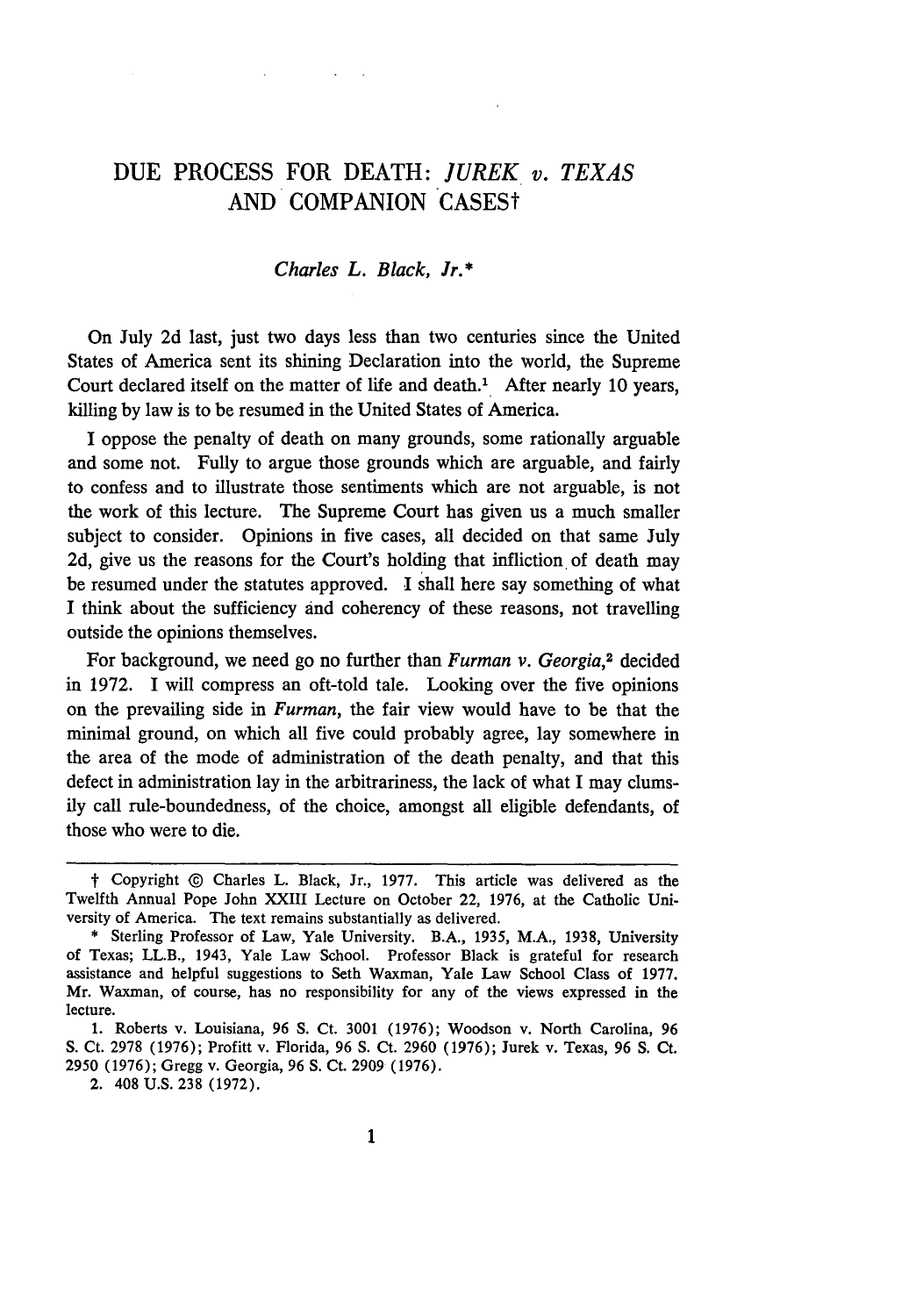### DUE PROCESS FOR DEATH: *JUREK v. TEXAS* AND COMPANION CASESt

#### *Charles L. Black, Jr.\**

On July 2d last, just two days less than two centuries since the United States of America sent its shining Declaration into the world, the Supreme Court declared itself on the matter of life and death.' After nearly 10 years, killing by law is to be resumed in the United States of America.

I oppose the penalty of death on many grounds, some rationally arguable and some not. Fully to argue those grounds which are arguable, and fairly to confess and to illustrate those sentiments which are not arguable, is not the work of this lecture. The Supreme Court has given us a much smaller subject to consider. Opinions in five cases, all decided on that same July 2d, give us the reasons for the Court's holding that infliction of death may be resumed under the statutes approved. I shall here say something of what I think about the sufficiency and coherency of these reasons, not travelling outside the opinions themselves.

For background, we need go no further than *Furman v. Georgia,2* decided in 1972. I will compress an oft-told tale. Looking over the five opinions on the prevailing side in *Furman,* the fair view would have to be that the minimal ground, on which all five could probably agree, lay somewhere in the area of the mode of administration of the death penalty, and that this defect in administration lay in the arbitrariness, the lack of what I may clumsily call rule-boundedness, of the choice, amongst all eligible defendants, of those who were to die.

t" Copyright **D** Charles L. Black, Jr., 1977. This article was delivered as the Twelfth Annual Pope John XXIII Lecture on October 22, 1976, at the Catholic University of America. The text remains substantially as delivered.

<sup>\*</sup> Sterling Professor of Law, Yale University. B.A., 1935, M.A., 1938, University of Texas; LL.B., 1943, Yale Law School. Professor Black is grateful for research assistance and helpful suggestions to Seth Waxman, Yale Law School Class of 1977. Mr. Waxman, of course, has no responsibility for any of the views expressed in the lecture.

<sup>1.</sup> Roberts v. Louisiana, 96 **S.** Ct. 3001 (1976); Woodson v. North Carolina, 96 S. Ct. 2978 (1976); Profitt v. Florida, 96 **S.** Ct. 2960 (1976); Jurek v. Texas, 96 **S.** Ct. 2950 (1976); Gregg v. Georgia, 96 **S.** Ct. 2909 (1976).

<sup>2. 408</sup> U.S. 238 (1972).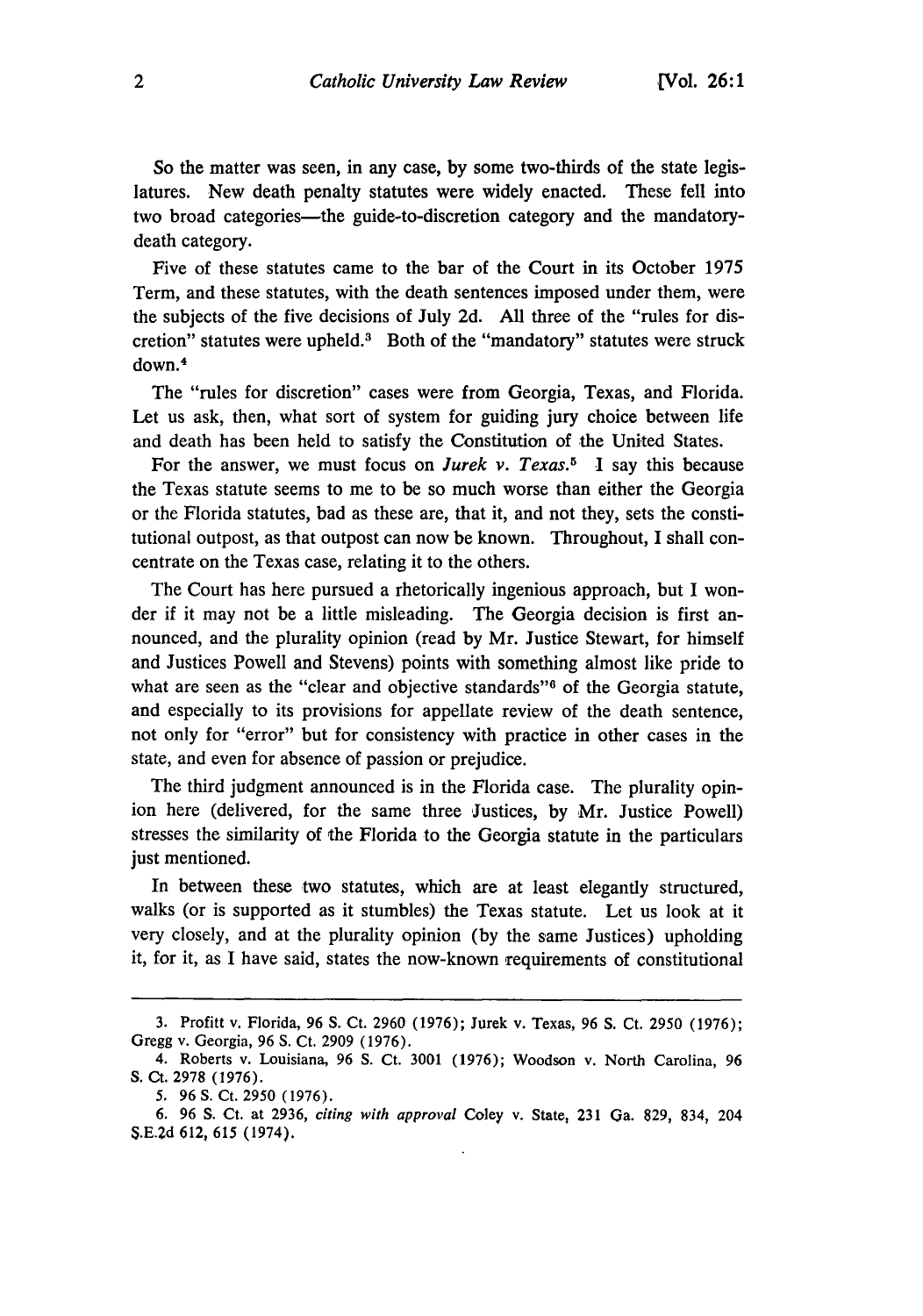So the matter was seen, in any case, **by** some two-thirds of the state legislatures. New death penalty statutes were widely enacted. These fell into two broad categories—the guide-to-discretion category and the mandatorydeath category.

Five of these statutes came to the bar of the Court in its October **1975** Term, and these statutes, with the death sentences imposed under them, were the subjects of the five decisions of July **2d. All** three of the "rules for discretion" statutes were upheld.3 Both of the "mandatory" statutes were struck down. <sup>4</sup>

The "rules for discretion" cases were from Georgia, Texas, and Florida. Let us ask, then, what sort of system for guiding jury choice between life and death has been held to satisfy the Constitution of the United States.

For the answer, we must focus on *Jurek v. Texas."* I say this because the Texas statute seems to me to be so much worse than either the Georgia or the Florida statutes, bad as these are, that it, and not they, sets the constitutional outpost, as that outpost can now be known. Throughout, I shall concentrate on the Texas case, relating it to the others.

The Court has here pursued a rhetorically ingenious approach, but **I** wonder if it may not be a little misleading. The Georgia decision is first announced, and the plurality opinion (read **by** Mr. Justice Stewart, for himself and Justices Powell and Stevens) points with something almost like pride to what are seen as the "clear and objective standards"<sup>6</sup> of the Georgia statute, and especially to its provisions for appellate review of the death sentence, not only for "error" but for consistency with practice in other cases in the state, and even for absence of passion or prejudice.

The third judgment announced is in the Florida case. The plurality opinion here (delivered, for the same three Justices, **by** Mr. Justice Powell) stresses the similarity of the Florida to the Georgia statute in the particulars just mentioned.

In between these two statutes, which are at least elegantly structured, walks (or is supported as it stumbles) the Texas statute. Let us look at it very closely, and at the plurality opinion **(by** the same Justices) upholding it, for it, as **I** have said, states the now-known requirements of constitutional

**<sup>3.</sup>** Profitt v. Florida, **96 S.** Ct. **2960 (1976);** Jurek v. Texas, 96 **S.** Ct. **2950 (1976);** Gregg v. Georgia, **96 S.** Ct. **2909 (1976).**

<sup>4.</sup> Roberts v. Louisiana, **96 S.** Ct. **3001 (1976);** Woodson v. North Carolina, **96 S.** Ct. **2978 (1976).**

*<sup>5.</sup>* 96 **S.** Ct. **2950 (1976).**

**<sup>6. 96</sup> S.** Ct. at **2936,** citing with *approval* Coley v. State, **231** Ga. **829,** 834, 204 **S.E.2d 612,** 615 (1974).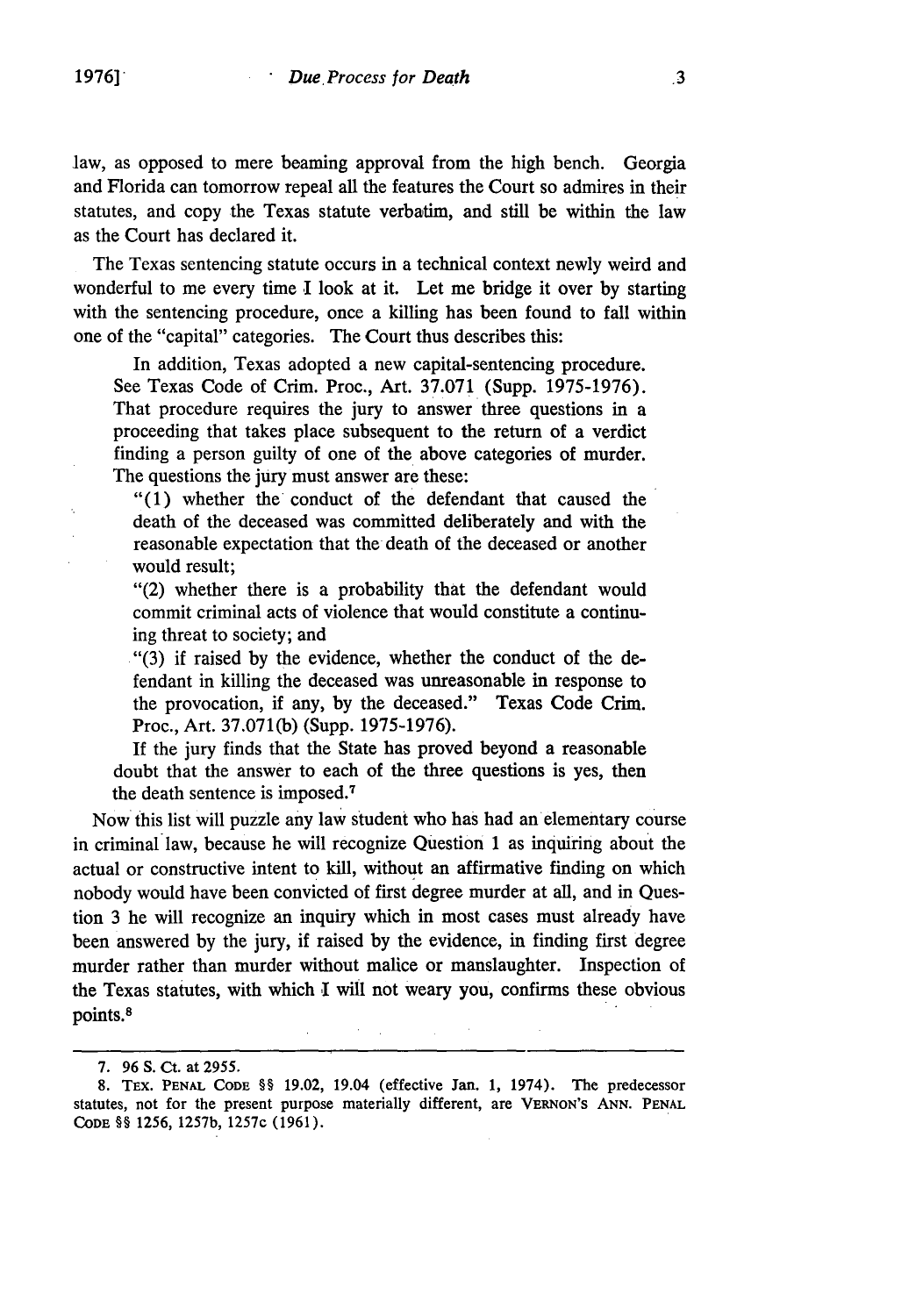law, as opposed to mere beaming approval from the high bench. Georgia and Florida can tomorrow repeal all the features the Court so admires in their statutes, and copy the Texas statute verbatim, and still be within the law as the Court has declared it.

The Texas sentencing statute occurs in a technical context newly weird and wonderful to me every time I look at it. Let me bridge it over by starting with the sentencing procedure, once a killing has been found to fall within one of the "capital" categories. The Court thus describes this:

In addition, Texas adopted a new capital-sentencing procedure. See Texas Code of Crim. Proc., Art. 37.071 (Supp. 1975-1976). That procedure requires the jury to answer three questions in a proceeding that takes place subsequent to the return of a verdict finding a person guilty of one of the above categories of murder. The questions the jury must answer are these:

"(1) whether the conduct of the defendant that caused the death of the deceased was committed deliberately and with the reasonable expectation that the death of the deceased or another would result;

"(2) whether there is a probability that the defendant would commit criminal acts of violence that would constitute a continuing threat to society; and

"(3) if raised by the evidence, whether the conduct of the defendant in killing the deceased was unreasonable in response to the provocation, if any, by the deceased." Texas Code Crim. Proc., Art. 37.071(b) (Supp. 1975-1976).

If the jury finds that the State has proved beyond a reasonable doubt that the answer to each of the three questions is yes, then the death sentence is imposed.<sup>7</sup>

Now this list will puzzle any law student who has had an elementary course in criminal law, because he will recognize Question 1 as inquiring about the actual or constructive intent to kill, without an affirmative finding on which nobody would have been convicted of first degree murder at all, and in Question 3 he will recognize an inquiry which in most cases must already have been answered by the jury, if raised by the evidence, in finding first degree murder rather than murder without malice or manslaughter. Inspection of the Texas statutes, with which I will not weary you, confirms these obvious points.8

**<sup>7. 96</sup> S.** Ct. at 2955.

<sup>8.</sup> TEX. PENAL **CODE** *§§* 19.02, 19.04 (effective Jan. 1, 1974). The predecessor statutes, not for the present purpose materially different, are VERNON'S **ANN.** PENAL CODE §§ 1256, 1257b, 1257c (1961).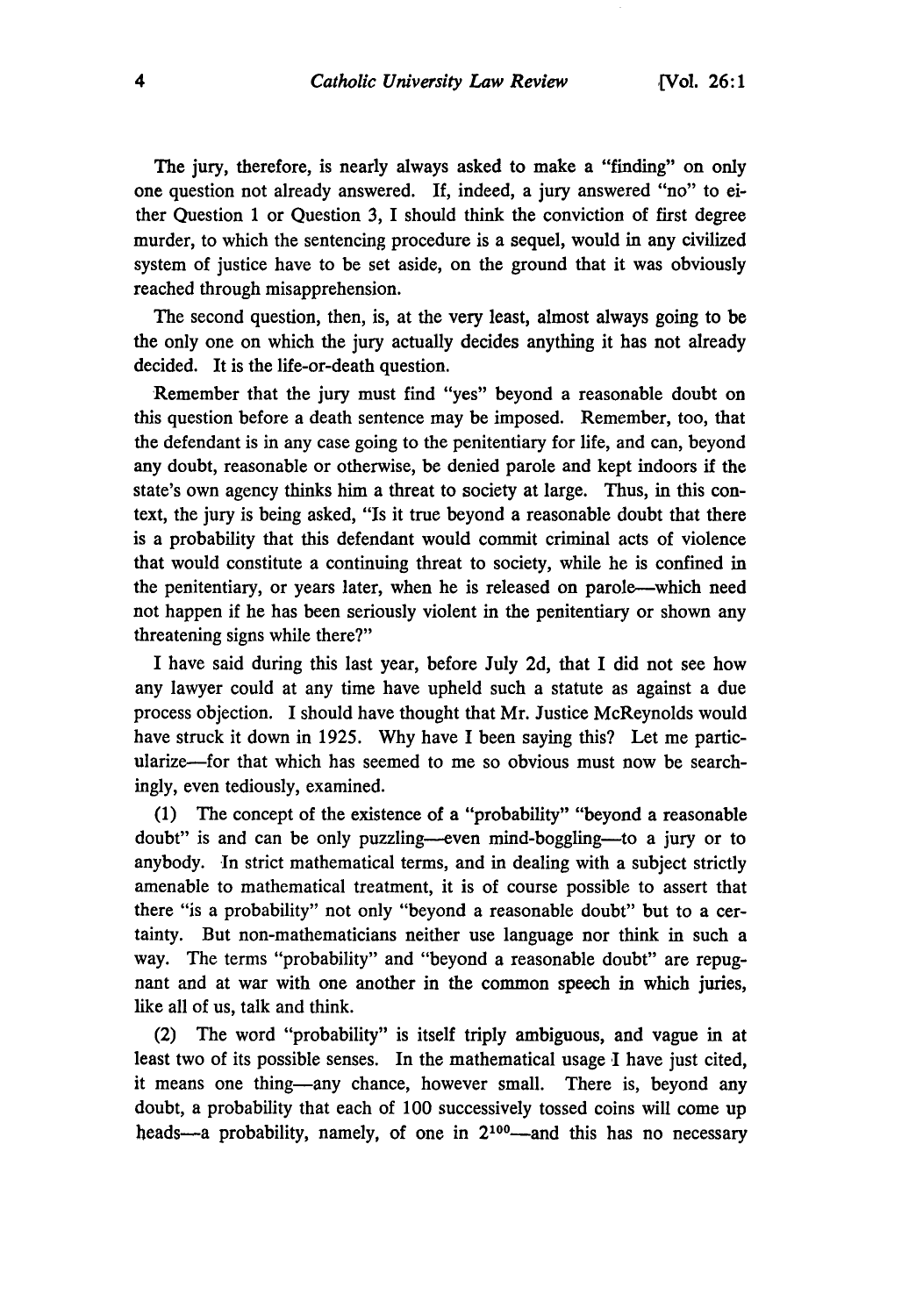**The** jury, therefore, is nearly always asked to make a "finding" on only one question not already answered. **If,** indeed, a jury answered "no" to either Question **1** or Question **3, I** should think the conviction of first degree murder, to which the sentencing procedure is a sequel, would in any civilized system of justice have to be set aside, on the ground that it was obviously reached through misapprehension.

The second question, then, is, at the very least, almost always going to be the only one on which the jury actually decides anything it has not already decided. It is the life-or-death question.

Remember that the jury must find "yes" beyond a reasonable doubt on this question before a death sentence may be imposed. Remember, too, that the defendant is in any case going to the penitentiary for life, and can, beyond any doubt, reasonable or otherwise, be denied parole and kept indoors if the state's own agency thinks him a threat to society at large. Thus, in this context, the jury is being asked, "Is it true beyond a reasonable doubt that there is a probability that this defendant would commit criminal acts of violence that would constitute a continuing threat to society, while he is confined in the penitentiary, or years later, when he is released on parole-which need not happen if he has been seriously violent in the penitentiary or shown any threatening signs while there?"

I have said during this last year, before July 2d, that I did not see how any lawyer could at any time have upheld such a statute as against a due process objection. I should have thought that Mr. Justice McReynolds would have struck it down in 1925. Why have I been saying this? Let me particularize-for that which has seemed to me so obvious must now be searchingly, even tediously, examined.

(1) The concept of the existence of a "probability" "beyond a reasonable doubt" is and can be only puzzling-even mind-boggling-to a jury or to anybody. In strict mathematical terms, and in dealing with a subject strictly amenable to mathematical treatment, it is of course possible to assert that there "is a probability" not only "beyond a reasonable doubt" but to a certainty. But non-mathematicians neither use language nor think in such a way. The terms "probability" and "beyond a reasonable doubt" are repugnant and at war with one another in the common speech in which juries, like all of us, talk and think.

(2) The word "probability" is itself triply ambiguous, and vague in at least two of its possible senses. In the mathematical usage I have just cited, it means one thing-any chance, however small. There is, beyond any doubt, a probability that each of 100 successively tossed coins will come up heads—a probability, namely, of one in  $2^{100}$ —and this has no necessary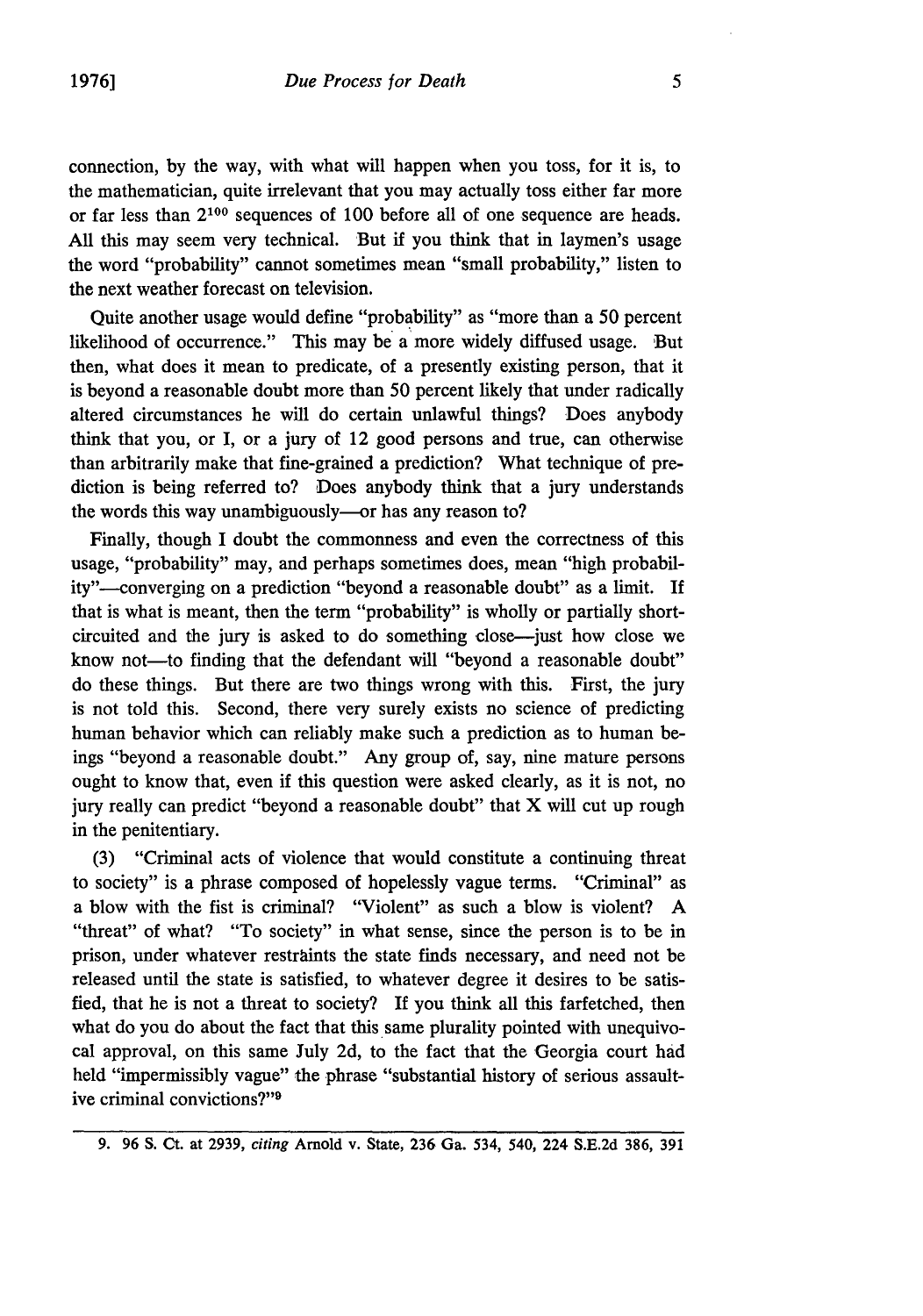connection, by the way, with what will happen when you toss, for it is, to the mathematician, quite irrelevant that you may actually toss either far more or far less than **2100** sequences of 100 before all of one sequence are heads. All this may seem very technical. But if you think that in laymen's usage the word "probability" cannot sometimes mean "small probability," listen to the next weather forecast on television.

Quite another usage would define "probability" as "more than a 50 percent likelihood of occurrence." This may be a more widely diffused usage. But then, what does it mean to predicate, of a presently existing person, that it is beyond a reasonable doubt more than 50 percent likely that under radically altered circumstances he will do certain unlawful things? Does anybody think that you, or I, or a jury of 12 good persons and true, can otherwise than arbitrarily make that fine-grained a prediction? What technique of prediction is being referred to? Does anybody think that a jury understands the words this way unambiguously-or has any reason to?

Finally, though I doubt the commonness and even the correctness of this usage, "probability" may, and perhaps sometimes does, mean "high probability"-converging on a prediction "beyond a reasonable doubt" as a limit. If that is what is meant, then the term "probability" is wholly or partially shortcircuited and the jury is asked to do something close-just how close we know not-to finding that the defendant will "beyond a reasonable doubt" do these things. But there are two things wrong with this. First, the jury is not told this. Second, there very surely exists no science of predicting human behavior which can reliably make such a prediction as to human beings "beyond a reasonable doubt." Any group of, say, nine mature persons ought to know that, even if this question were asked clearly, as it is not, no jury really can predict "beyond a reasonable doubt" that X will cut up rough in the penitentiary.

(3) "Criminal acts of violence that would constitute a continuing threat to society" is a phrase composed of hopelessly vague terms. "Criminal" as a blow with the fist is criminal? "Violent" as such a blow is violent? A "threat" of what? "To society" in what sense, since the person is to be in prison, under whatever restraints the state finds necessary, and need not be released until the state is satisfied, to whatever degree it desires to be satisfied, that he is not a threat to society? If you think all this farfetched, then what do you do about the fact that this same plurality pointed with unequivocal approval, on this same July 2d, to the fact that the Georgia court had held "impermissibly vague" the phrase "substantial history of serious assaultive criminal convictions?"<sup>9</sup>

<sup>9. 96</sup> S. Ct. at 2939, *citing* Arnold v. State, 236 Ga. 534, 540, 224 S.E.2d 386, 391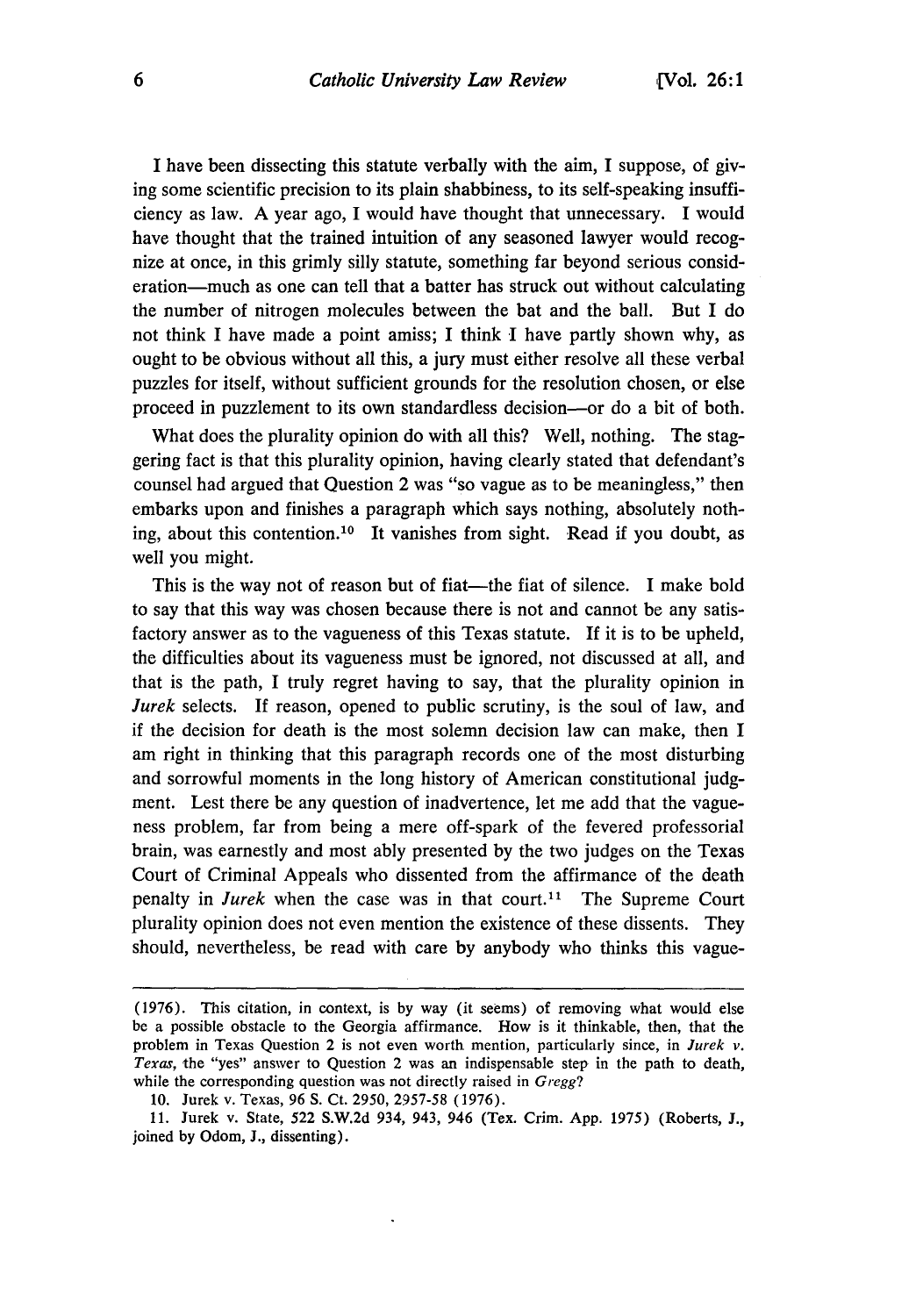I have been dissecting this statute verbally with the aim, I suppose, of giving some scientific precision to its plain shabbiness, to its self-speaking insufficiency as law. A year ago, I would have thought that unnecessary. I would have thought that the trained intuition of any seasoned lawyer would recognize at once, in this grimly silly statute, something far beyond serious consideration—much as one can tell that a batter has struck out without calculating the number of nitrogen molecules between the bat and the ball. But I do not think I have made a point amiss; I think I have partly shown why, as ought to be obvious without all this, a jury must either resolve all these verbal puzzles for itself, without sufficient grounds for the resolution chosen, or else proceed in puzzlement to its own standardless decision--- or do a bit of both.

What does the plurality opinion do with all this? Well, nothing. The staggering fact is that this plurality opinion, having clearly stated that defendant's counsel had argued that Question 2 was "so vague as to be meaningless," then embarks upon and finishes a paragraph which says nothing, absolutely nothing, about this contention.<sup>10</sup> It vanishes from sight. Read if you doubt, as well you might.

This is the way not of reason but of fiat-the fiat of silence. I make bold to say that this way was chosen because there is not and cannot be any satisfactory answer as to the vagueness of this Texas statute. If it is to be upheld, the difficulties about its vagueness must be ignored, not discussed at all, and that is the path, I truly regret having to say, that the plurality opinion in *Jurek* selects. If reason, opened to public scrutiny, is the soul of law, and if the decision for death is the most solemn decision law can make, then I am right in thinking that this paragraph records one of the most disturbing and sorrowful moments in the long history of American constitutional judgment. Lest there be any question of inadvertence, let me add that the vagueness problem, far from being a mere off-spark of the fevered professorial brain, was earnestly and most ably presented by the two judges on the Texas Court of Criminal Appeals who dissented from the affirmance of the death penalty in *Jurek* when the case was in that court.<sup>11</sup> The Supreme Court plurality opinion does not even mention the existence of these dissents. They should, nevertheless, be read with care by anybody who thinks this vague-

<sup>(1976).</sup> This citation, in context, is by way (it seems) of removing what would else be a possible obstacle to the Georgia affirmance. How is it thinkable, then, that the problem in Texas Question 2 is not even worth mention, particularly since, in *Jurek v. Texas,* the "yes" answer to Question 2 was an indispensable step in the path to death, while the corresponding question was not directly raised in *Gregg?*

<sup>10.</sup> Jurek v. Texas, 96 S. Ct. 2950, 2957-58 (1976).

<sup>11.</sup> Jurek v. State, 522 S.W.2d 934, 943, 946 (Tex. Crim. App. 1975) (Roberts, J., joined by Odom, J., dissenting).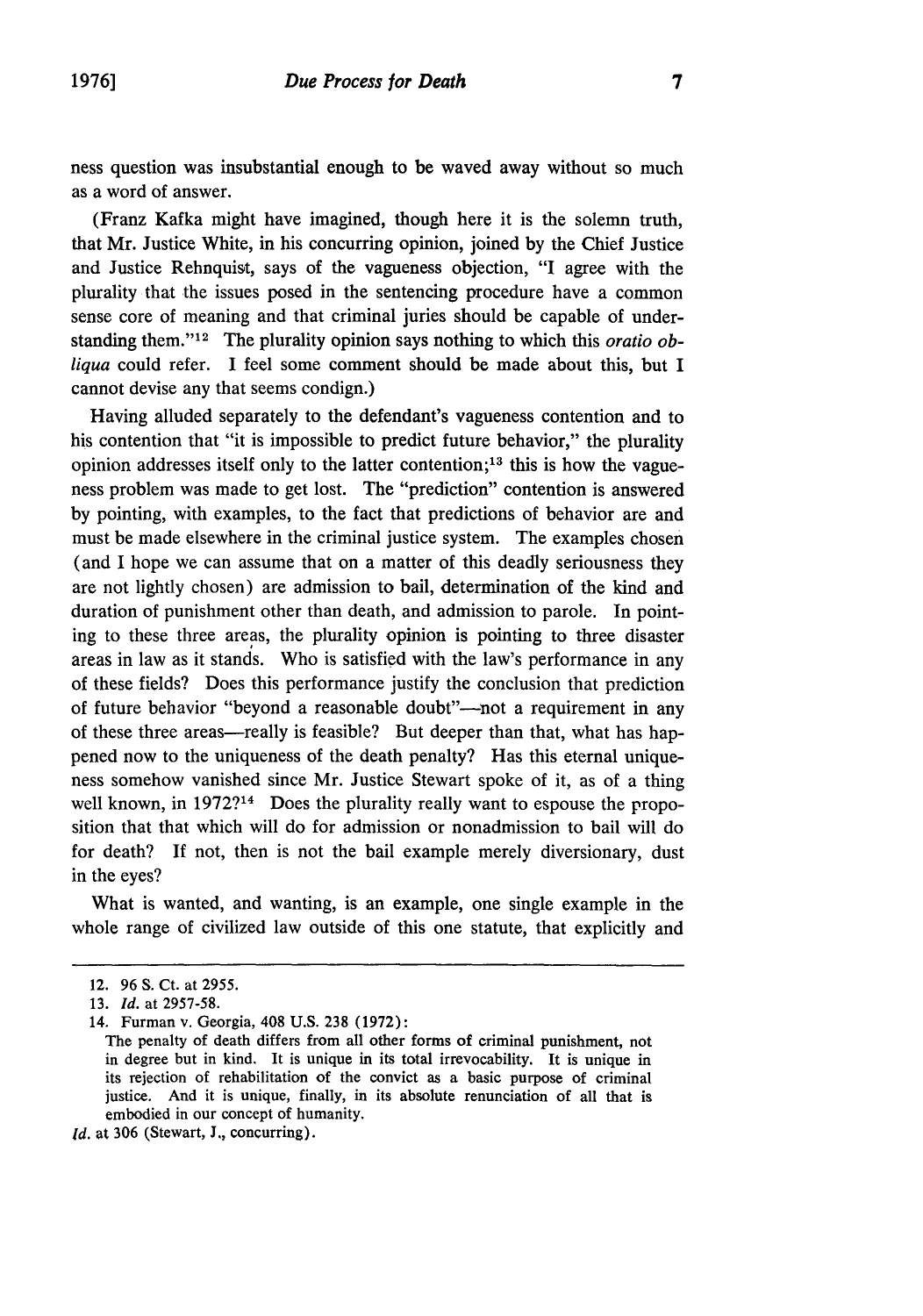ness question was insubstantial enough to be waved away without so much as a word of answer.

(Franz Kafka might have imagined, though here it is the solemn truth, that Mr. Justice White, in his concurring opinion, joined by the Chief Justice and Justice Rehnquist, says of the vagueness objection, "I agree with the plurality that the issues posed in the sentencing procedure have a common sense core of meaning and that criminal juries should be capable of understanding them."<sup>12</sup> The plurality opinion says nothing to which this *oratio obliqua* could refer. I feel some comment should be made about this, but I cannot devise any that seems condign.)

Having alluded separately to the defendant's vagueness contention and to his contention that "it is impossible to predict future behavior," the plurality opinion addresses itself only to the latter contention;<sup>13</sup> this is how the vagueness problem was made to get lost. The "prediction" contention is answered by pointing, with examples, to the fact that predictions of behavior are and must be made elsewhere in the criminal justice system. The examples chosen (and I hope we can assume that on a matter of this deadly seriousness they are not lightly chosen) are admission to bail, determination of the kind and duration of punishment other than death, and admission to parole. In pointing to these three areas, the plurality opinion is pointing to three disaster areas in law as it stands. Who is satisfied with the law's performance in any of these fields? Does this performance justify the conclusion that prediction of future behavior "beyond a reasonable doubt"—not a requirement in any of these three areas—really is feasible? But deeper than that, what has happened now to the uniqueness of the death penalty? Has this eternal uniqueness somehow vanished since Mr. Justice Stewart spoke of it, as of a thing well known, in  $1972$ ?<sup>14</sup> Does the plurality really want to espouse the proposition that that which will do for admission or nonadmission to bail will do for death? If not, then is not the bail example merely diversionary, dust in the eyes?

What is wanted, and wanting, is an example, one single example in the whole range of civilized law outside of this one statute, that explicitly and

<sup>12. 96</sup> S. Ct. at 2955.

<sup>13.</sup> *Id.* at 2957-58.

<sup>14.</sup> Furman v. Georgia, 408 U.S. 238 (1972):

The penalty of death differs from all other forms of criminal punishment, not in degree but in kind. It is unique in its total irrevocability. It is unique in its rejection of rehabilitation of the convict as a basic purpose of criminal justice. And it is unique, finally, in its absolute renunciation of all that is embodied in our concept of humanity.

*Id.* at **306** (Stewart, **J,,** concurring).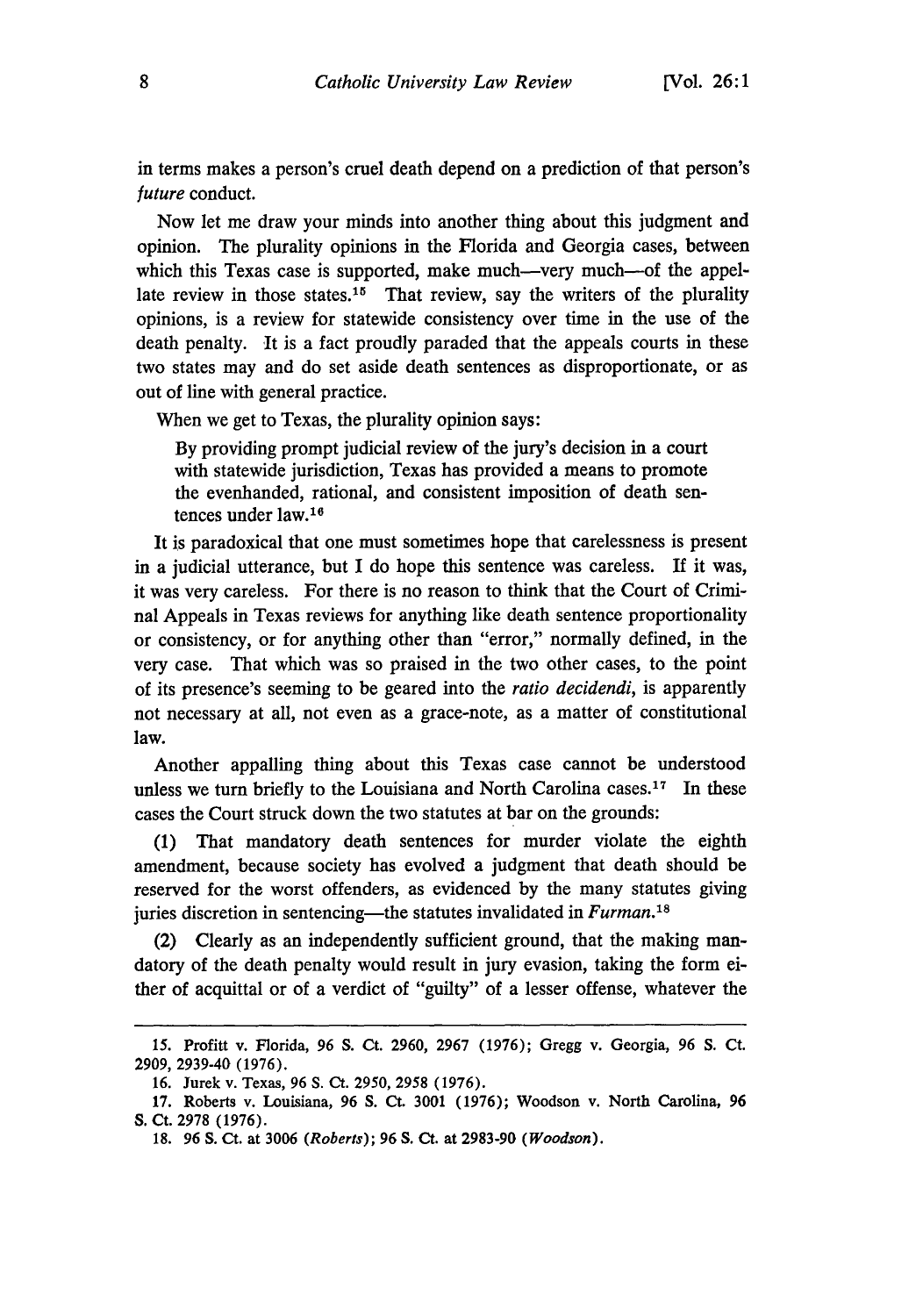in terms makes a person's cruel death depend on a prediction of that person's *future* conduct.

Now let me draw your minds into another thing about this judgment and opinion. The plurality opinions in the Florida and Georgia cases, between which this Texas case is supported, make much-very much-of the appellate review in those states.<sup>15</sup> That review, say the writers of the plurality opinions, is a review for statewide consistency over time in the use of the death penalty. It is a fact proudly paraded that the appeals courts in these two states may and do set aside death sentences as disproportionate, or as out of line with general practice.

When we get to Texas, the plurality opinion says:

By providing prompt judicial review of the jury's decision in a court with statewide jurisdiction, Texas has provided a means to promote the evenhanded, rational, and consistent imposition of death sentences under law.<sup>16</sup>

It is paradoxical that one must sometimes hope that carelessness is present in a judicial utterance, but I do hope this sentence was careless. If it was, it was very careless. For there is no reason to think that the Court of Criminal Appeals in Texas reviews for anything like death sentence proportionality or consistency, or for anything other than "error," normally defined, in the very case. That which was so praised in the two other cases, to the point of its presence's seeming to be geared into the *ratio decidendi,* is apparently not necessary at all, not even as a grace-note, as a matter of constitutional law.

Another appalling thing about this Texas case cannot be understood unless we turn briefly to the Louisiana and North Carolina cases.<sup>17</sup> In these cases the Court struck down the two statutes at bar on the grounds:

(1) That mandatory death sentences for murder violate the eighth amendment, because society has evolved a judgment that death should be reserved for the worst offenders, as evidenced by the many statutes giving juries discretion in sentencing—the statutes invalidated in *Furman*.<sup>18</sup>

(2) Clearly as an independently sufficient ground, that the making mandatory of the death penalty would result in jury evasion, taking the form either of acquittal or of a verdict of "guilty" of a lesser offense, whatever the

<sup>15.</sup> Profitt v. Florida, 96 S. Ct. 2960, 2967 (1976); Gregg v. Georgia, 96 **S.** Ct. 2909, 2939-40 (1976).

<sup>16.</sup> Jurek v. Texas, 96 S. Ct. 2950, 2958 (1976).

<sup>17.</sup> Roberts v. Louisiana, 96 S. Ct. 3001 (1976); Woodson v. North Carolina, **96 S.** Ct. 2978 (1976).

<sup>18. 96</sup> S. Ct. at 3006 *(Roberts);* 96 **S.** Ct. at 2983-90 *(Woodson).*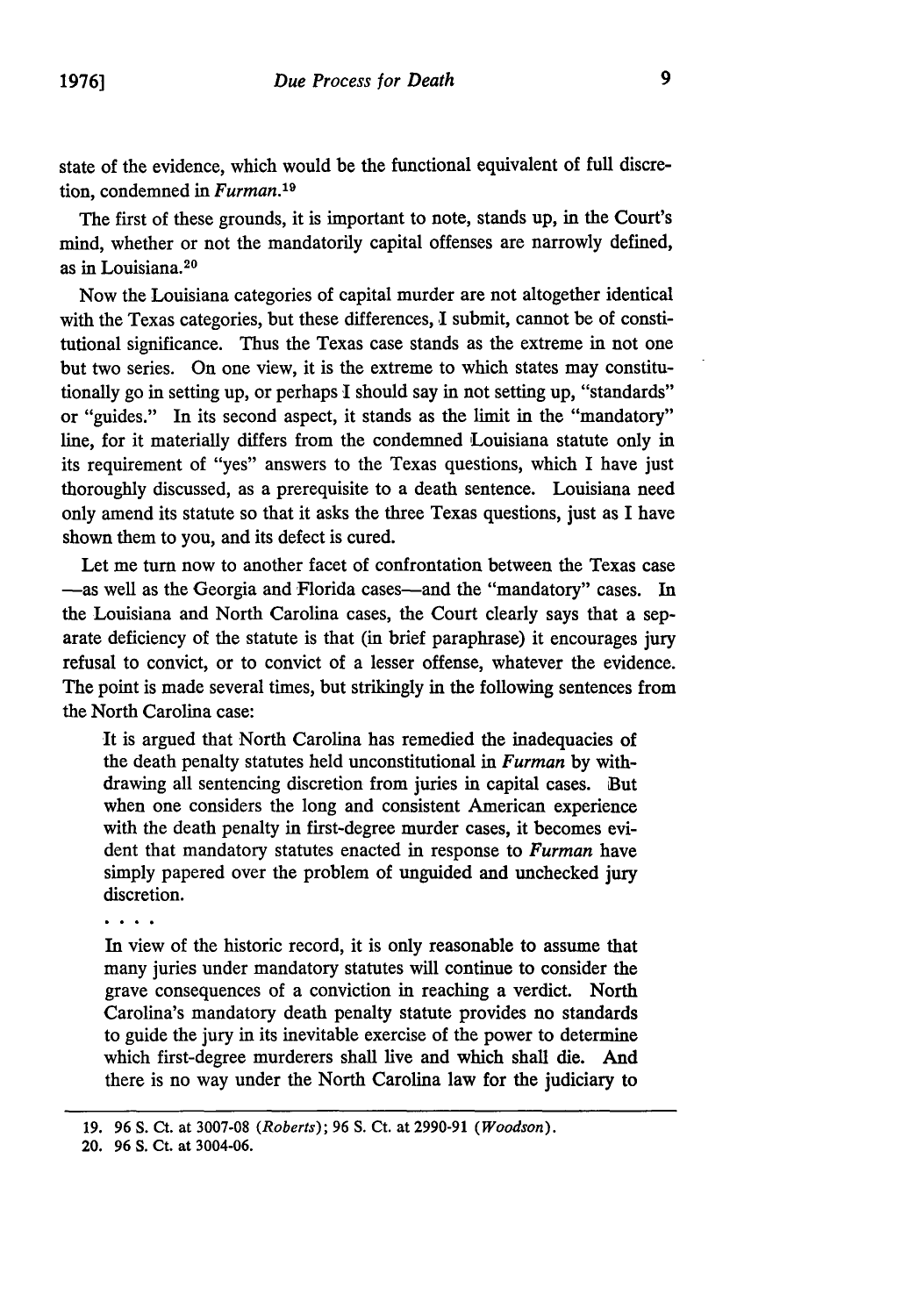state of the evidence, which would be the functional equivalent of full discretion, condemned in *Furman.19*

The first of these grounds, it is important to note, stands up, in the Court's mind, whether or not the mandatorily capital offenses are narrowly defined, as in Louisiana. <sup>20</sup>

Now the Louisiana categories of capital murder are not altogether identical with the Texas categories, but these differences, I submit, cannot be of constitutional significance. Thus the Texas case stands as the extreme in not one but two series. On one view, it is the extreme to which states may constitutionally go in setting up, or perhaps I should say in not setting up, "standards" or "guides." In its second aspect, it stands as the limit in the "mandatory" line, for it materially differs from the condemned Louisiana statute only in its requirement of "yes" answers to the Texas questions, which I have just thoroughly discussed, as a prerequisite to a death sentence. Louisiana need only amend its statute so that it asks the three Texas questions, just as I have shown them to you, and its defect is cured.

Let me turn now to another facet of confrontation between the Texas case -as well as the Georgia and Florida cases-and the "mandatory" cases. In the Louisiana and North Carolina cases, the Court clearly says that a separate deficiency of the statute is that (in brief paraphrase) it encourages jury refusal to convict, or to convict of a lesser offense, whatever the evidence. The point is made several times, but strikingly in the following sentences from the North Carolina case:

It is argued that North Carolina has remedied the inadequacies of the death penalty statutes held unconstitutional in *Furman* by withdrawing all sentencing discretion from juries in capital cases. But when one considers the long and consistent American experience with the death penalty in first-degree murder cases, it becomes evident that mandatory statutes enacted in response to *Furman* have simply papered over the problem of unguided and unchecked jury discretion.

 $\overline{a}$   $\overline{a}$   $\overline{a}$   $\overline{a}$ 

In view of the historic record, it is only reasonable to assume that many juries under mandatory statutes will continue to consider the grave consequences of a conviction in reaching a verdict. North Carolina's mandatory death penalty statute provides no standards to guide the jury in its inevitable exercise of the power to determine which first-degree murderers shall live and which shall die. And there is no way under the North Carolina law for the judiciary to

**<sup>19. 96</sup> S. Ct.** at 3007-08 *(Roberts);* 96 S. Ct. at 2990-91 *(Woodson).*

<sup>20.</sup> **96 S.** Ct. at 3004-06.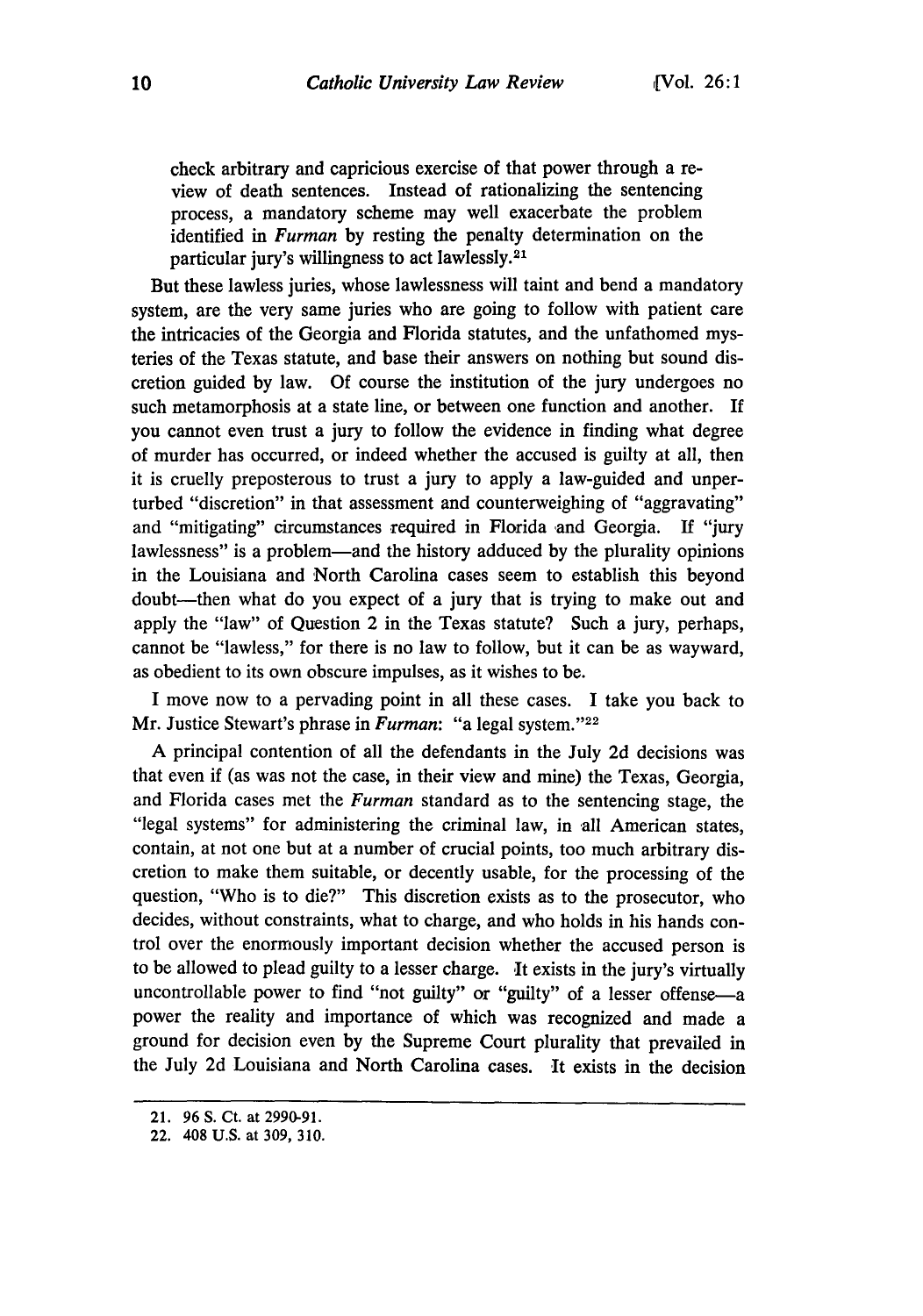check arbitrary and capricious exercise of that power through a review of death sentences. Instead of rationalizing the sentencing process, a mandatory scheme may well exacerbate the problem identified in *Furman* by resting the penalty determination on the particular jury's willingness to act lawlessly. <sup>21</sup>

But these lawless juries, whose lawlessness will taint and bend a mandatory system, are the very same juries who are going to follow with patient care the intricacies of the Georgia and Florida statutes, and the unfathomed mysteries of the Texas statute, and base their answers on nothing but sound discretion guided by law. **Of** course the institution of the jury undergoes no such metamorphosis at a state line, or between one function and another. If you cannot even trust a jury to follow the evidence in finding what degree of murder has occurred, or indeed whether the accused is guilty at all, then it is cruelly preposterous to trust a jury to apply a law-guided and unperturbed "discretion" in that assessment and counterweighing of "aggravating" and "mitigating" circumstances required in Florida and Georgia. If "jury lawlessness" is a problem—and the history adduced by the plurality opinions in the Louisiana and North Carolina cases seem to establish this beyond doubt—then what do you expect of a jury that is trying to make out and apply the "law" of Question 2 in the Texas statute? Such a jury, perhaps, cannot be "lawless," for there is no law to follow, but it can be as wayward, as obedient to its own obscure impulses, as it wishes to be.

I move now to a pervading point in all these cases. I take you back to Mr. Justice Stewart's phrase in *Furman*: "a legal system."<sup>22</sup>

A principal contention of all the defendants in the July 2d decisions was that even if (as was not the case, in their view and mine) the Texas, Georgia, and Florida cases met the *Furman* standard as to the sentencing stage, the "legal systems" for administering the criminal law, in all American states, contain, at not one but at a number of crucial points, too much arbitrary discretion to make them suitable, or decently usable, for the processing of the question, "Who is to die?" This discretion exists as to the prosecutor, who decides, without constraints, what to charge, and who holds in his hands control over the enormously important decision whether the accused person is to be allowed to plead guilty to a lesser charge. It exists in the jury's virtually uncontrollable power to find "not guilty" or "guilty" of a lesser offense—a power the reality and importance of which was recognized and made a ground for decision even by the Supreme Court plurality that prevailed in the July 2d Louisiana and North Carolina cases. It exists in the decision

<sup>21. 96</sup> S. Ct. at 2990-91.

<sup>22. 408</sup> U.S. at 309, 310.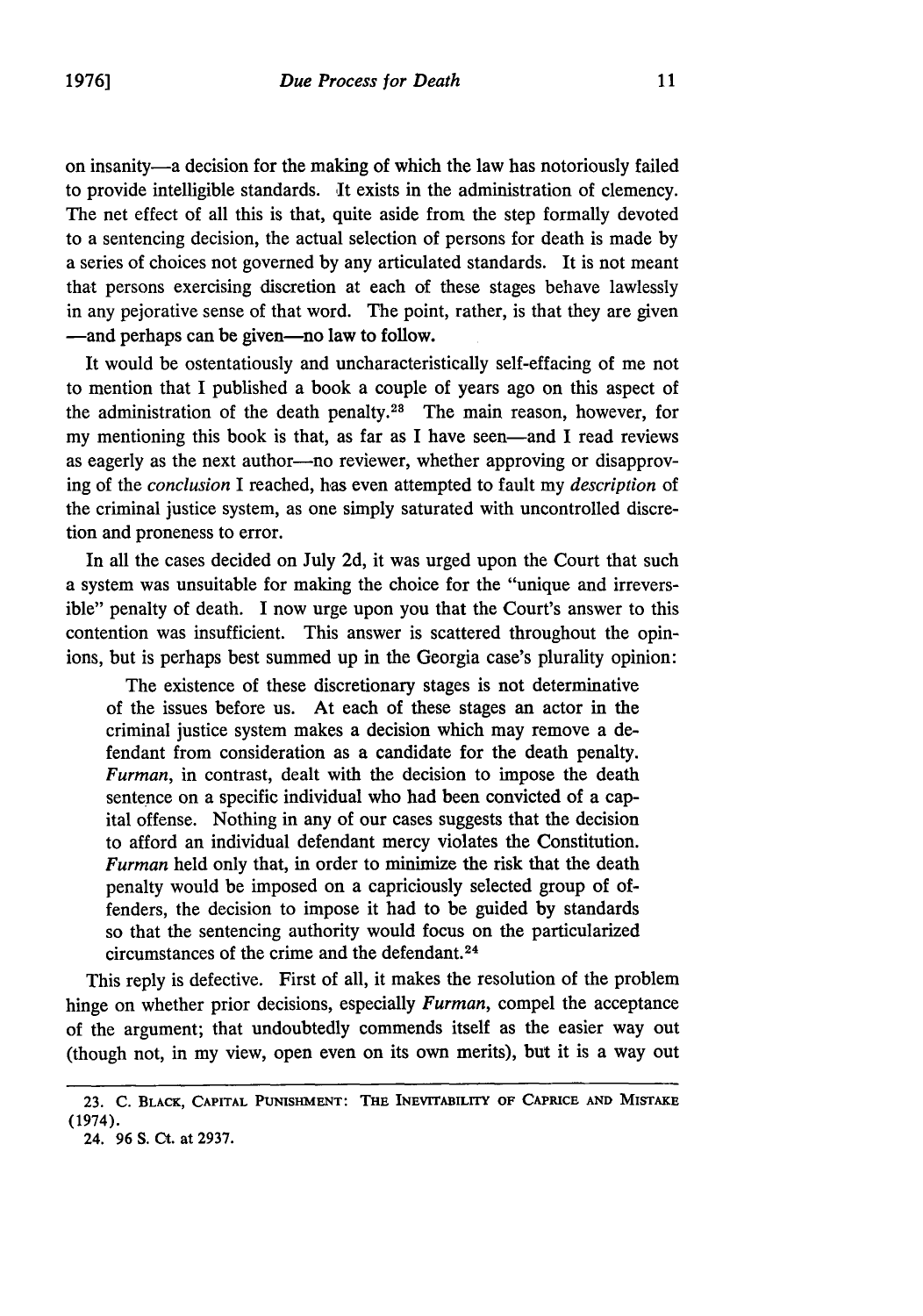on insanity-a decision for the making of which the law has notoriously failed to provide intelligible standards. It exists in the administration of clemency. The net effect of all this is that, quite aside from the step formally devoted to a sentencing decision, the actual selection of persons for death is made **by** a series of choices not governed **by** any articulated standards. It is not meant that persons exercising discretion at each of these stages behave lawlessly in any pejorative sense of that word. The point, rather, is that they are given -and perhaps can be given-no law to follow.

It would be ostentatiously and uncharacteristically self-effacing of me not to mention that **I** published a book a couple of years ago on this aspect of the administration of the death penalty.<sup>28</sup> The main reason, however, for my mentioning this book is that, as far as I have seen—and I read reviews as eagerly as the next author-no reviewer, whether approving or disapproving of the *conclusion* I reached, has even attempted to fault my *description* of the criminal justice system, as one simply saturated with uncontrolled discretion and proneness to error.

In all the cases decided on July 2d, it was urged upon the Court that such a system was unsuitable for making the choice for the "unique and irreversible" penalty of death. **I** now urge upon you that the Court's answer to this contention was insufficient. This answer is scattered throughout the opinions, but is perhaps best summed up in the Georgia case's plurality opinion:

The existence of these discretionary stages is not determinative of the issues before us. At each of these stages an actor in the criminal justice system makes a decision which may remove a defendant from consideration as a candidate for the death penalty. *Furman,* in contrast, dealt with the decision to impose the death sentence on a specific individual who had been convicted of a capital offense. Nothing in any of our cases suggests that the decision to afford an individual defendant mercy violates the Constitution. *Furman* held only that, in order to minimize the risk that the death penalty would be imposed on a capriciously selected group of offenders, the decision to impose it had to be guided **by** standards so that the sentencing authority would focus on the particularized circumstances of the crime and the defendant. <sup>24</sup>

This reply is defective. First of all, it makes the resolution of the problem hinge on whether prior decisions, especially *Furman,* compel the acceptance of the argument; that undoubtedly commends itself as the easier way out (though not, in my view, open even on its own merits), but it is a way out

<sup>23.</sup> C. BLACK, CAPITAL PUNISHMENT: THE INEVITABILITY OF CAPRICE AND MISTAKE (1974).

<sup>24. 96</sup> S. Ct. at 2937.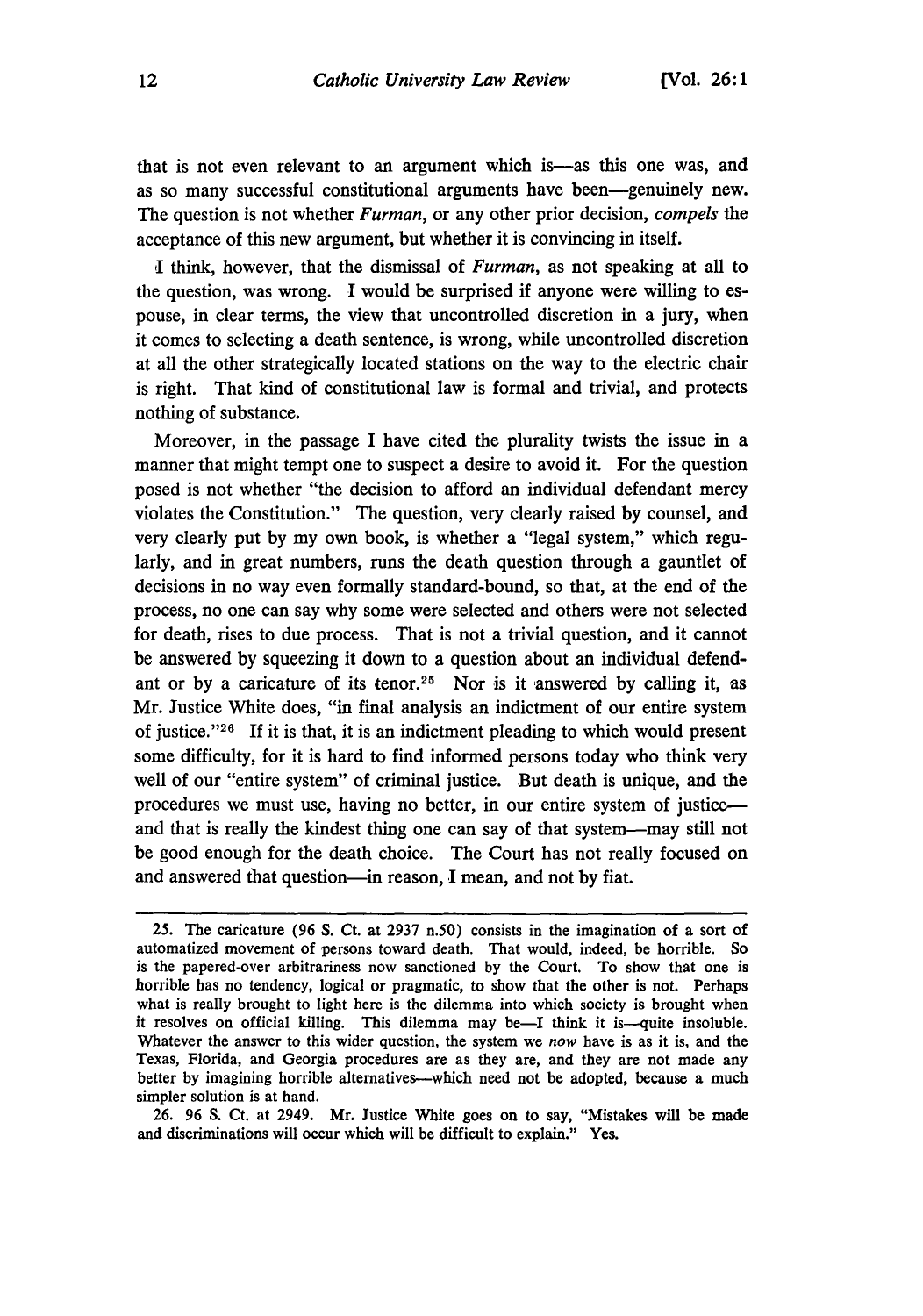that is not even relevant to an argument which is—as this one was, and as so many successful constitutional arguments have been-genuinely new. The question is not whether *Furman,* or any other prior decision, *compels the* acceptance of this new argument, but whether it is convincing in itself.

I think, however, that the dismissal of *Furman,* as not speaking at all to the question, was wrong. I would be surprised if anyone were willing to espouse, in clear terms, the view that uncontrolled discretion in a jury, when it comes to selecting a death sentence, is wrong, while uncontrolled discretion at all the other strategically located stations on the way to the electric chair is right. That kind of constitutional law is formal and trivial, and protects nothing of substance.

Moreover, in the passage I have cited the plurality twists the issue in a manner that might tempt one to suspect a desire to avoid it. For the question posed is not whether "the decision to afford an individual defendant mercy violates the Constitution." The question, very clearly raised by counsel, and very clearly put by my own book, is whether a "legal system," which regularly, and in great numbers, runs the death question through a gauntlet of decisions in no way even formally standard-bound, so that, at the end of the process, no one can say why some were selected and others were not selected for death, rises to due process. That is not a trivial question, and it cannot be answered by squeezing it down to a question about an individual defendant or by a caricature of its tenor.<sup>25</sup> Nor is it answered by calling it, as Mr. Justice White does, "in final analysis an indictment of our entire system of justice." $2<sup>6</sup>$  If it is that, it is an indictment pleading to which would present some difficulty, for it is hard to find informed persons today who think very well of our "entire system" of criminal justice. But death is unique, and the procedures we must use, having no better, in our entire system of justiceand that is really the kindest thing one can say of that system-may still not be good enough for the death choice. The Court has not really focused on and answered that question-in reason, I mean, and not by fiat.

<sup>25.</sup> The caricature (96 S. Ct. at 2937 n.50) consists in the imagination of a sort of automatized movement of persons toward death. That would, indeed, be horrible. So is the papered-over arbitrariness now sanctioned by the Court. To show that one is horrible has no tendency, logical or pragmatic, to show that the other is not. Perhaps what is really brought to light here is the dilemma into which society is brought when it resolves on official killing. This dilemma may be—I think it is—quite insoluble. Whatever the answer to this wider question, the system we now have is as it is, and the Texas, Florida, and Georgia procedures are as they are, and they are not made any better by imagining horrible alternatives-which need not be adopted, because a much simpler solution is at hand.

<sup>26. 96</sup> S. Ct. at 2949. Mr. Justice White goes on to say, "Mistakes will be made and discriminations will occur which will be difficult to explain." Yes.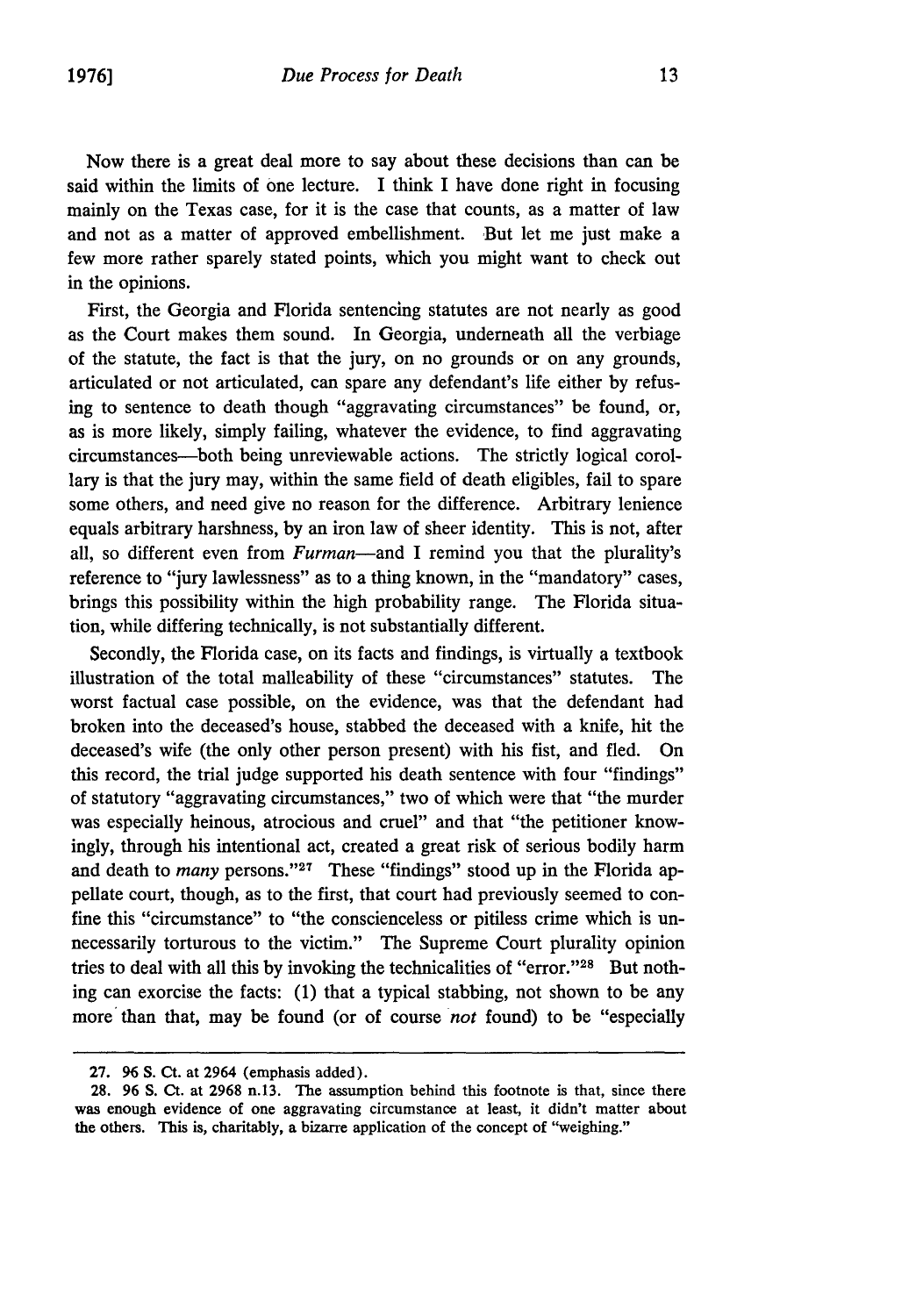Now there is a great deal more to say about these decisions than can be said within the limits of one lecture. I think I have done right in focusing mainly on the Texas case, for it is the case that counts, as a matter of law and not as a matter of approved embellishment. But let me just make a few more rather sparely stated points, which you might want to check out in the opinions.

First, the Georgia and Florida sentencing statutes are not nearly as good as the Court makes them sound. In Georgia, underneath all the verbiage of the statute, the fact is that the jury, on no grounds or on any grounds, articulated or not articulated, can spare any defendant's life either by refusing to sentence to death though "aggravating circumstances" be found, or, as is more likely, simply failing, whatever the evidence, to find aggravating circumstances-both being unreviewable actions. The strictly logical corollary is that the jury may, within the same field of death eligibles, fail to spare some others, and need give no reason for the difference. Arbitrary lenience equals arbitrary harshness, by an iron law of sheer identity. This is not, after all, so different even from *Furman-and* I remind you that the plurality's reference to "jury lawlessness" as to a thing known, in the "mandatory" cases, brings this possibility within the high probability range. The Florida situation, while differing technically, is not substantially different.

Secondly, the Florida case, on its facts and findings, is virtually a textbook illustration of the total malleability of these "circumstances" statutes. The worst factual case possible, on the evidence, was that the defendant had broken into the deceased's house, stabbed the deceased with a knife, hit the deceased's wife (the only other person present) with his fist, and fled. On this record, the trial judge supported his death sentence with four "findings" of statutory "aggravating circumstances," two of which were that "the murder was especially heinous, atrocious and cruel" and that "the petitioner knowingly, through his intentional act, created a great risk of serious bodily harm and death to *many* persons."<sup>27</sup> These "findings" stood up in the Florida appellate court, though, as to the first, that court had previously seemed to confine this "circumstance" to "the conscienceless or pitiless crime which is unnecessarily torturous to the victim." The Supreme Court plurality opinion tries to deal with all this by invoking the technicalities of "error."<sup>28</sup> But nothing can exorcise the facts: (1) that a typical stabbing, not shown to be any more' than that, may be found (or of course *not* found) to be "especially

**<sup>27.</sup>** 96 **S.** Ct. at 2964 (emphasis added).

<sup>28. 96</sup> S. Ct. at 2968 n.13. The assumption behind this footnote is that, since there was enough evidence of one aggravating circumstance at least, it didn't matter about the others. This is, charitably, a bizarre application of the concept of "weighing."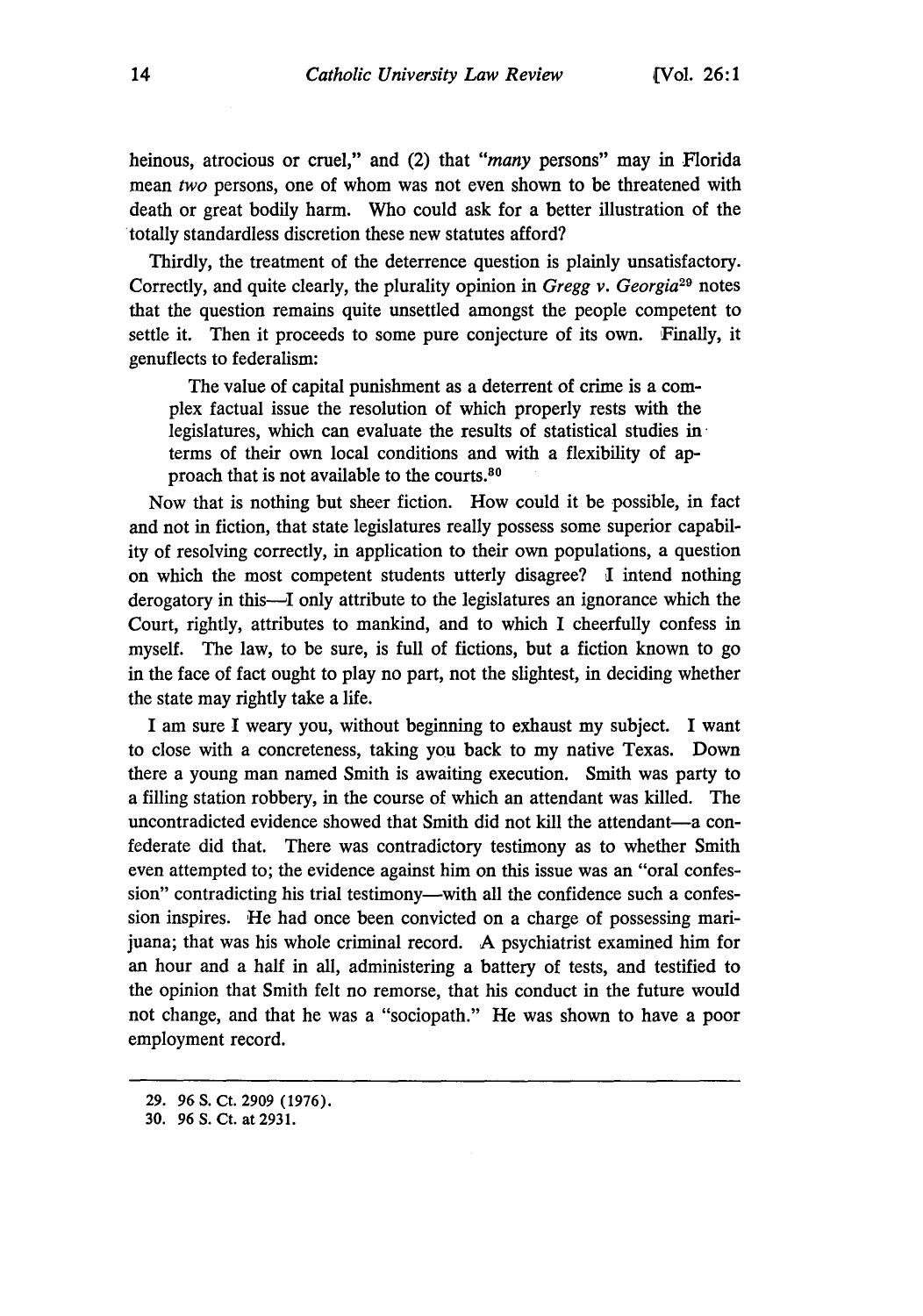heinous, atrocious or cruel," and (2) that *"many* persons" may in Florida mean *two* persons, one of whom was not even shown to be threatened with death or great bodily harm. Who could ask for a better illustration of the totally standardless discretion these new statutes afford?

Thirdly, the treatment of the deterrence question is plainly unsatisfactory. Correctly, and quite clearly, the plurality opinion in *Gregg v. Georgia20* notes that the question remains quite unsettled amongst the people competent to settle it. Then it proceeds to some pure conjecture of its own. Finally, it genuflects to federalism:

The value of capital punishment as a deterrent of crime is a complex factual issue the resolution of which properly rests with the legislatures, which can evaluate the results of statistical studies in terms of their own local conditions and with a flexibility of approach that is not available to the courts.80

Now that is nothing but sheer fiction. How could it be possible, in fact and not in fiction, that state legislatures really possess some superior capability of resolving correctly, in application to their own populations, a question on which the most competent students utterly disagree? I intend nothing derogatory in this--I only attribute to the legislatures an ignorance which the Court, rightly, attributes to mankind, and to which I cheerfully confess in myself. The law, to be sure, is full of fictions, but a fiction known to go in the face of fact ought to play no part, not the slightest, in deciding whether the state may rightly take a life.

I am sure I weary you, without beginning to exhaust my subject. I want to close with a concreteness, taking you back to my native Texas. Down there a young man named Smith is awaiting execution. Smith was party to a filling station robbery, in the course of which an attendant was killed. The uncontradicted evidence showed that Smith did not kill the attendant-a confederate did that. There was contradictory testimony as to whether Smith even attempted to; the evidence against him on this issue was an "oral confession" contradicting his trial testimony—with all the confidence such a confession inspires. He had once been convicted on a charge of possessing marijuana; that was his whole criminal record. A psychiatrist examined him for an hour and a half in all, administering a battery of tests, and testified to the opinion that Smith felt no remorse, that his conduct in the future would not change, and that he was a "sociopath." He was shown to have a poor employment record.

**<sup>29. 96</sup> S.** Ct. **2909 (1976).**

**<sup>30. 96</sup> S. Ct.** at **2931.**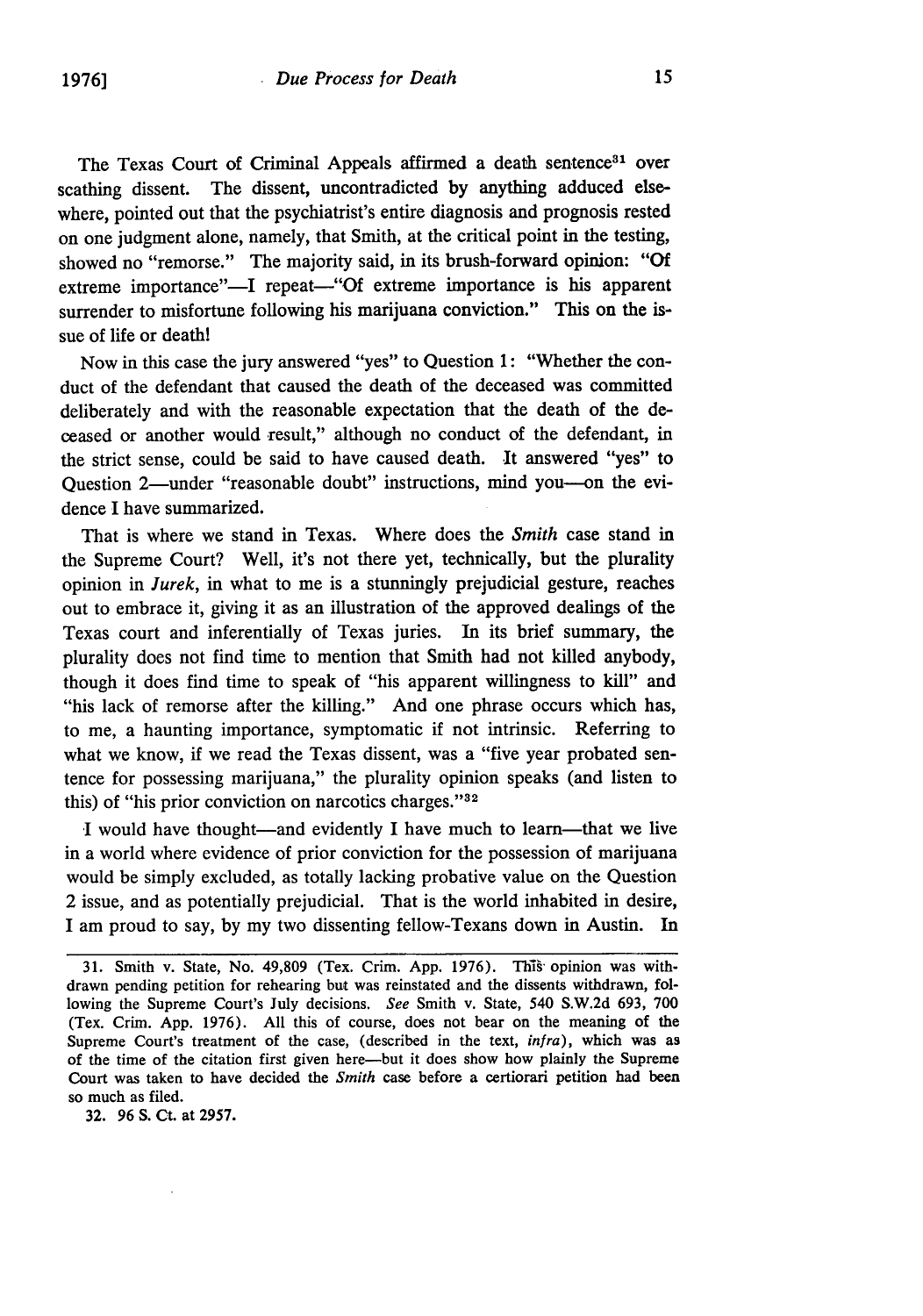The Texas Court of Criminal Appeals affirmed a death sentence<sup>31</sup> over scathing dissent. The dissent, uncontradicted by anything adduced elsewhere, pointed out that the psychiatrist's entire diagnosis and prognosis rested on one judgment alone, namely, that Smith, at the critical point in the testing, showed no "remorse." The majority said, in its brush-forward opinion: "Of extreme importance"-I repeat-"Of extreme importance is his apparent surrender to misfortune following his marijuana conviction." This on the issue of life or death!

Now in this case the jury answered "yes" to Question 1: "Whether the conduct of the defendant that caused the death of the deceased was committed deliberately and with the reasonable expectation that the death of the deceased or another would result," although no conduct of the defendant, in the strict sense, could be said to have caused death. It answered "yes" to Question 2—under "reasonable doubt" instructions, mind you-on the evidence I have summarized.

That is where we stand in Texas. Where does the *Smith* case stand in the Supreme Court? Well, it's not there yet, technically, but the plurality opinion in *Jurek,* in what to me is a stunningly prejudicial gesture, reaches out to embrace it, giving it as an illustration of the approved dealings of the Texas court and inferentially of Texas juries. In its brief summary, the plurality does not find time to mention that Smith had not killed anybody, though it does find time to speak of "his apparent willingness to kill" and "his lack of remorse after the killing." And one phrase occurs which has, to me, a haunting importance, symptomatic if not intrinsic. Referring to what we know, if we read the Texas dissent, was a "five year probated sentence for possessing marijuana," the plurality opinion speaks (and listen to this) of "his prior conviction on narcotics charges."<sup>32</sup>

I would have thought-and evidently I have much to learn-that we live in a world where evidence of prior conviction for the possession of marijuana would be simply excluded, as totally lacking probative value on the Question 2 issue, and as potentially prejudicial. That is the world inhabited in desire, I am proud to say, by my two dissenting fellow-Texans down in Austin. In

32. 96 **S.** Ct. at 2957.

<sup>31.</sup> Smith v. State, No. 49,809 (Tex. Crim. App. 1976). This opinion was withdrawn pending petition for rehearing but was reinstated and the dissents withdrawn, following the Supreme Court's July decisions. *See* Smith v. State, 540 S.W.2d 693, 700 (Tex. Grim. App. 1976). All this of course, does not bear on the meaning of the Supreme Court's treatment of the case, (described in the text, *infra),* which was as of the time of the citation first given here-but it does show how plainly the Supreme Court was taken to have decided the *Smith* case before a certiorari petition had been so much as filed.